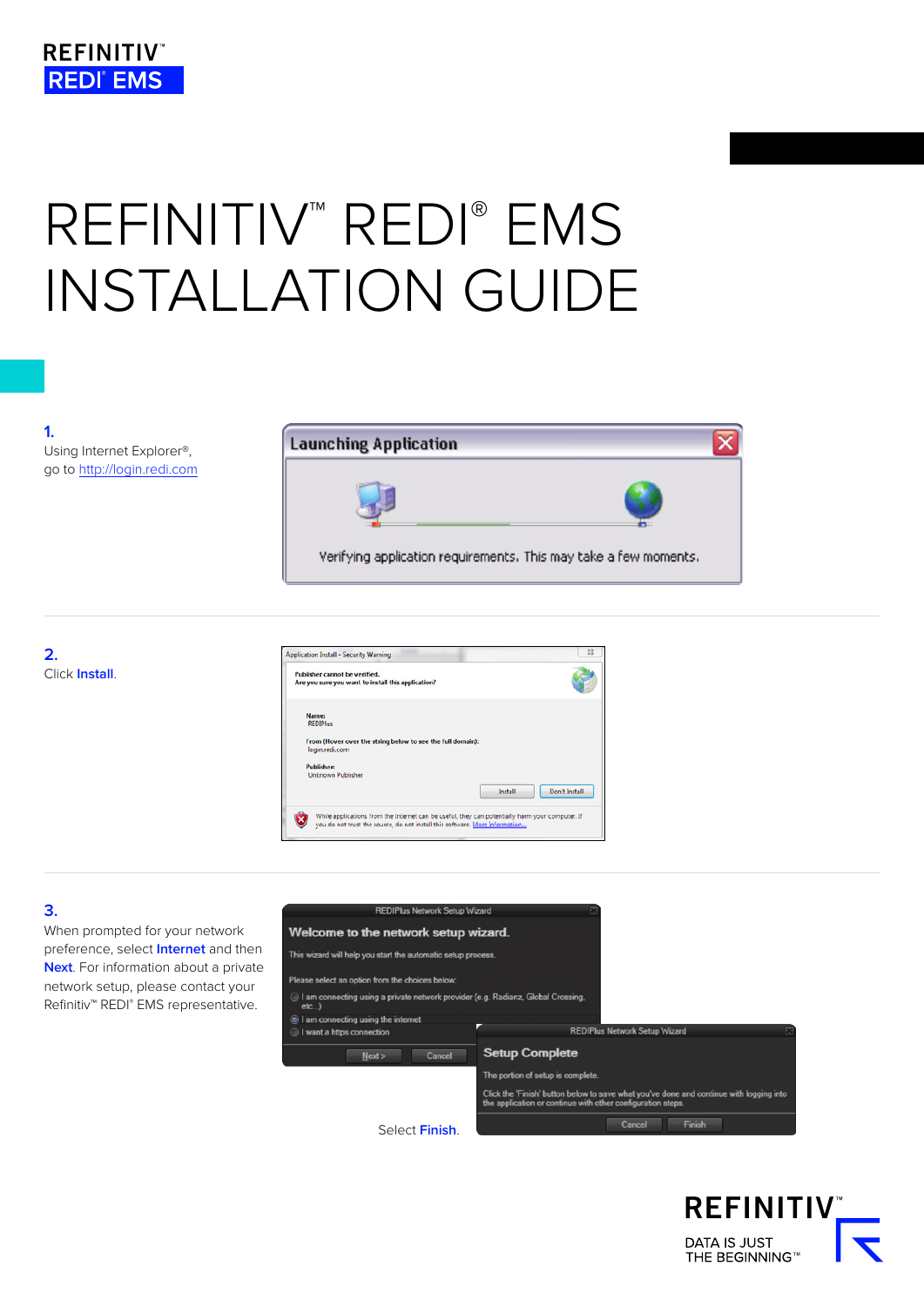# REFINITIV<sup>™</sup> REDI® EMS INSTALLATION GUIDE

**1.**  Using Internet Explorer®, go to http://login.redi.com







## **3.**

When prompted for your network preference, select **Internet** and then **Next**. For information about a private network setup, please contact your Refinitiv™ REDI® EMS representative.



**REFINITIV** DATA IS JUST<br>THE BEGINNING™